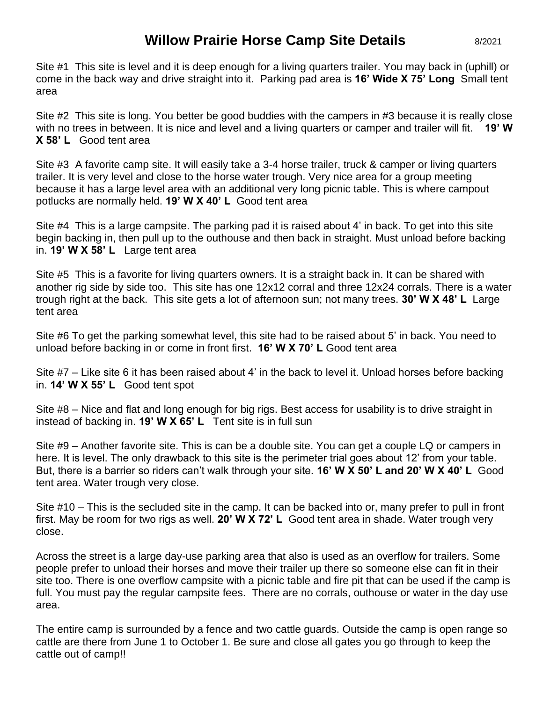## **Willow Prairie Horse Camp Site Details**

Site #1 This site is level and it is deep enough for a living quarters trailer. You may back in (uphill) or come in the back way and drive straight into it. Parking pad area is **16' Wide X 75' Long** Small tent area

Site #2 This site is long. You better be good buddies with the campers in #3 because it is really close with no trees in between. It is nice and level and a living quarters or camper and trailer will fit. **19' W X 58' L** Good tent area

Site #3 A favorite camp site. It will easily take a 3-4 horse trailer, truck & camper or living quarters trailer. It is very level and close to the horse water trough. Very nice area for a group meeting because it has a large level area with an additional very long picnic table. This is where campout potlucks are normally held. **19' W X 40' L** Good tent area

Site #4 This is a large campsite. The parking pad it is raised about 4' in back. To get into this site begin backing in, then pull up to the outhouse and then back in straight. Must unload before backing in. **19' W X 58' L** Large tent area

Site #5 This is a favorite for living quarters owners. It is a straight back in. It can be shared with another rig side by side too. This site has one 12x12 corral and three 12x24 corrals. There is a water trough right at the back. This site gets a lot of afternoon sun; not many trees. **30' W X 48' L** Large tent area

Site #6 To get the parking somewhat level, this site had to be raised about 5' in back. You need to unload before backing in or come in front first. **16' W X 70' L** Good tent area

Site #7 – Like site 6 it has been raised about 4' in the back to level it. Unload horses before backing in. **14' W X 55' L** Good tent spot

Site #8 – Nice and flat and long enough for big rigs. Best access for usability is to drive straight in instead of backing in. **19' W X 65' L** Tent site is in full sun

Site #9 – Another favorite site. This is can be a double site. You can get a couple LQ or campers in here. It is level. The only drawback to this site is the perimeter trial goes about 12' from your table. But, there is a barrier so riders can't walk through your site. **16' W X 50' L and 20' W X 40' L** Good tent area. Water trough very close.

Site #10 – This is the secluded site in the camp. It can be backed into or, many prefer to pull in front first. May be room for two rigs as well. **20' W X 72' L** Good tent area in shade. Water trough very close.

Across the street is a large day-use parking area that also is used as an overflow for trailers. Some people prefer to unload their horses and move their trailer up there so someone else can fit in their site too. There is one overflow campsite with a picnic table and fire pit that can be used if the camp is full. You must pay the regular campsite fees. There are no corrals, outhouse or water in the day use area.

The entire camp is surrounded by a fence and two cattle guards. Outside the camp is open range so cattle are there from June 1 to October 1. Be sure and close all gates you go through to keep the cattle out of camp!!